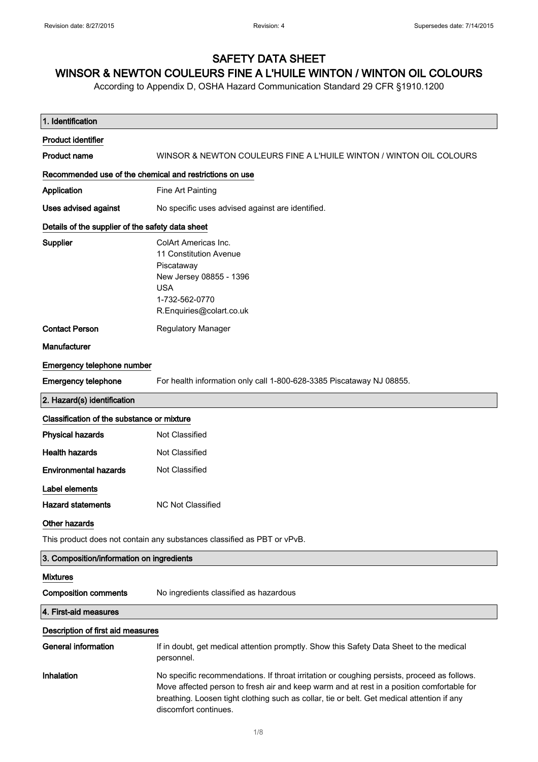# SAFETY DATA SHEET

# WINSOR & NEWTON COULEURS FINE A L'HUILE WINTON / WINTON OIL COLOURS

According to Appendix D, OSHA Hazard Communication Standard 29 CFR §1910.1200

| 1. Identification                                       |                                                                                                                                                                                                                                                                                                                 |
|---------------------------------------------------------|-----------------------------------------------------------------------------------------------------------------------------------------------------------------------------------------------------------------------------------------------------------------------------------------------------------------|
| <b>Product identifier</b>                               |                                                                                                                                                                                                                                                                                                                 |
| <b>Product name</b>                                     | WINSOR & NEWTON COULEURS FINE A L'HUILE WINTON / WINTON OIL COLOURS                                                                                                                                                                                                                                             |
| Recommended use of the chemical and restrictions on use |                                                                                                                                                                                                                                                                                                                 |
| <b>Application</b>                                      | Fine Art Painting                                                                                                                                                                                                                                                                                               |
| <b>Uses advised against</b>                             | No specific uses advised against are identified.                                                                                                                                                                                                                                                                |
| Details of the supplier of the safety data sheet        |                                                                                                                                                                                                                                                                                                                 |
| <b>Supplier</b>                                         | <b>ColArt Americas Inc.</b><br>11 Constitution Avenue<br>Piscataway<br>New Jersey 08855 - 1396<br><b>USA</b><br>1-732-562-0770<br>R.Enquiries@colart.co.uk                                                                                                                                                      |
| <b>Contact Person</b>                                   | Regulatory Manager                                                                                                                                                                                                                                                                                              |
| Manufacturer                                            |                                                                                                                                                                                                                                                                                                                 |
| Emergency telephone number                              |                                                                                                                                                                                                                                                                                                                 |
| <b>Emergency telephone</b>                              | For health information only call 1-800-628-3385 Piscataway NJ 08855.                                                                                                                                                                                                                                            |
| 2. Hazard(s) identification                             |                                                                                                                                                                                                                                                                                                                 |
| Classification of the substance or mixture              |                                                                                                                                                                                                                                                                                                                 |
| <b>Physical hazards</b>                                 | Not Classified                                                                                                                                                                                                                                                                                                  |
| <b>Health hazards</b>                                   | Not Classified                                                                                                                                                                                                                                                                                                  |
| <b>Environmental hazards</b>                            | Not Classified                                                                                                                                                                                                                                                                                                  |
| Label elements<br><b>Hazard statements</b>              | <b>NC Not Classified</b>                                                                                                                                                                                                                                                                                        |
| Other hazards                                           |                                                                                                                                                                                                                                                                                                                 |
|                                                         | This product does not contain any substances classified as PBT or vPvB.                                                                                                                                                                                                                                         |
| 3. Composition/information on ingredients               |                                                                                                                                                                                                                                                                                                                 |
| <b>Mixtures</b>                                         |                                                                                                                                                                                                                                                                                                                 |
| <b>Composition comments</b>                             | No ingredients classified as hazardous                                                                                                                                                                                                                                                                          |
| 4. First-aid measures                                   |                                                                                                                                                                                                                                                                                                                 |
| Description of first aid measures                       |                                                                                                                                                                                                                                                                                                                 |
| <b>General information</b>                              | If in doubt, get medical attention promptly. Show this Safety Data Sheet to the medical<br>personnel.                                                                                                                                                                                                           |
| Inhalation                                              | No specific recommendations. If throat irritation or coughing persists, proceed as follows.<br>Move affected person to fresh air and keep warm and at rest in a position comfortable for<br>breathing. Loosen tight clothing such as collar, tie or belt. Get medical attention if any<br>discomfort continues. |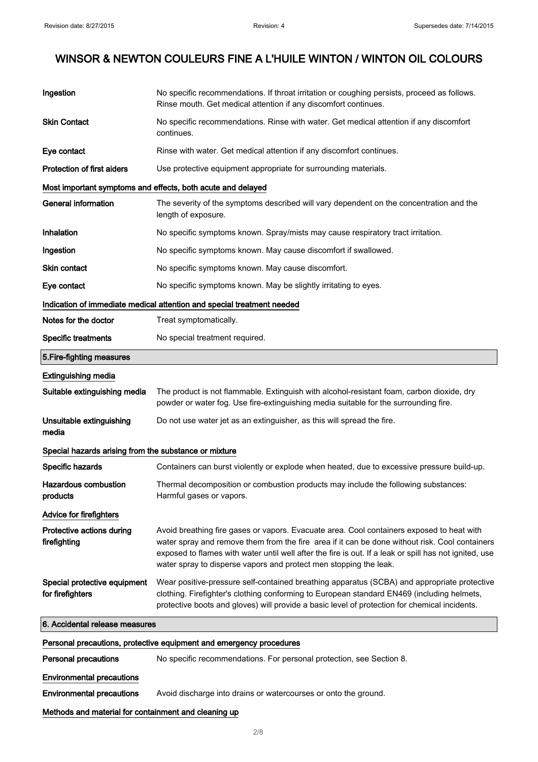| Ingestion                                                           | No specific recommendations. If throat irritation or coughing persists, proceed as follows.<br>Rinse mouth. Get medical attention if any discomfort continues.                                                                                                                                                                                                             |
|---------------------------------------------------------------------|----------------------------------------------------------------------------------------------------------------------------------------------------------------------------------------------------------------------------------------------------------------------------------------------------------------------------------------------------------------------------|
| <b>Skin Contact</b>                                                 | No specific recommendations. Rinse with water. Get medical attention if any discomfort<br>continues.                                                                                                                                                                                                                                                                       |
| Eye contact                                                         | Rinse with water. Get medical attention if any discomfort continues.                                                                                                                                                                                                                                                                                                       |
| <b>Protection of first aiders</b>                                   | Use protective equipment appropriate for surrounding materials.                                                                                                                                                                                                                                                                                                            |
|                                                                     | Most important symptoms and effects, both acute and delayed                                                                                                                                                                                                                                                                                                                |
| <b>General information</b>                                          | The severity of the symptoms described will vary dependent on the concentration and the<br>length of exposure.                                                                                                                                                                                                                                                             |
| Inhalation                                                          | No specific symptoms known. Spray/mists may cause respiratory tract irritation.                                                                                                                                                                                                                                                                                            |
| Ingestion                                                           | No specific symptoms known. May cause discomfort if swallowed.                                                                                                                                                                                                                                                                                                             |
| <b>Skin contact</b>                                                 | No specific symptoms known. May cause discomfort.                                                                                                                                                                                                                                                                                                                          |
| Eye contact                                                         | No specific symptoms known. May be slightly irritating to eyes.                                                                                                                                                                                                                                                                                                            |
|                                                                     | Indication of immediate medical attention and special treatment needed                                                                                                                                                                                                                                                                                                     |
| Notes for the doctor                                                | Treat symptomatically.                                                                                                                                                                                                                                                                                                                                                     |
| <b>Specific treatments</b>                                          | No special treatment required.                                                                                                                                                                                                                                                                                                                                             |
| 5. Fire-fighting measures                                           |                                                                                                                                                                                                                                                                                                                                                                            |
| <b>Extinguishing media</b>                                          |                                                                                                                                                                                                                                                                                                                                                                            |
| Suitable extinguishing media                                        | The product is not flammable. Extinguish with alcohol-resistant foam, carbon dioxide, dry<br>powder or water fog. Use fire-extinguishing media suitable for the surrounding fire.                                                                                                                                                                                          |
| Unsuitable extinguishing<br>media                                   | Do not use water jet as an extinguisher, as this will spread the fire.                                                                                                                                                                                                                                                                                                     |
| Special hazards arising from the substance or mixture               |                                                                                                                                                                                                                                                                                                                                                                            |
| Specific hazards                                                    | Containers can burst violently or explode when heated, due to excessive pressure build-up.                                                                                                                                                                                                                                                                                 |
| Hazardous combustion<br>products                                    | Thermal decomposition or combustion products may include the following substances:<br>Harmful gases or vapors.                                                                                                                                                                                                                                                             |
| <b>Advice for firefighters</b>                                      |                                                                                                                                                                                                                                                                                                                                                                            |
| Protective actions during<br>firefighting                           | Avoid breathing fire gases or vapors. Evacuate area. Cool containers exposed to heat with<br>water spray and remove them from the fire area if it can be done without risk. Cool containers<br>exposed to flames with water until well after the fire is out. If a leak or spill has not ignited, use<br>water spray to disperse vapors and protect men stopping the leak. |
| Special protective equipment<br>for firefighters                    | Wear positive-pressure self-contained breathing apparatus (SCBA) and appropriate protective<br>clothing. Firefighter's clothing conforming to European standard EN469 (including helmets,<br>protective boots and gloves) will provide a basic level of protection for chemical incidents.                                                                                 |
| 6. Accidental release measures                                      |                                                                                                                                                                                                                                                                                                                                                                            |
| Personal precautions, protective equipment and emergency procedures |                                                                                                                                                                                                                                                                                                                                                                            |
| <b>Personal precautions</b>                                         | No specific recommendations. For personal protection, see Section 8.                                                                                                                                                                                                                                                                                                       |
| <b>Environmental precautions</b>                                    |                                                                                                                                                                                                                                                                                                                                                                            |
|                                                                     |                                                                                                                                                                                                                                                                                                                                                                            |

Environmental precautions Avoid discharge into drains or watercourses or onto the ground.

# Methods and material for containment and cleaning up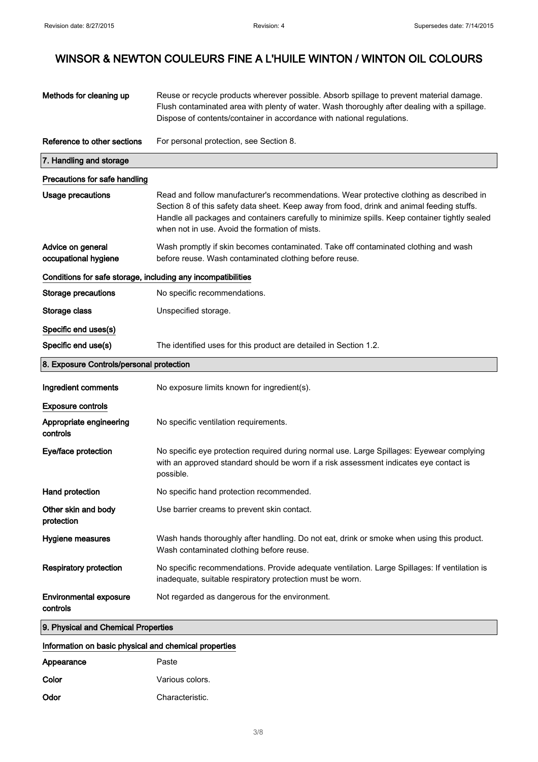| Methods for cleaning up                                         | Reuse or recycle products wherever possible. Absorb spillage to prevent material damage.<br>Flush contaminated area with plenty of water. Wash thoroughly after dealing with a spillage.<br>Dispose of contents/container in accordance with national regulations.                                                                         |
|-----------------------------------------------------------------|--------------------------------------------------------------------------------------------------------------------------------------------------------------------------------------------------------------------------------------------------------------------------------------------------------------------------------------------|
| Reference to other sections                                     | For personal protection, see Section 8.                                                                                                                                                                                                                                                                                                    |
| 7. Handling and storage                                         |                                                                                                                                                                                                                                                                                                                                            |
| Precautions for safe handling                                   |                                                                                                                                                                                                                                                                                                                                            |
| Usage precautions                                               | Read and follow manufacturer's recommendations. Wear protective clothing as described in<br>Section 8 of this safety data sheet. Keep away from food, drink and animal feeding stuffs.<br>Handle all packages and containers carefully to minimize spills. Keep container tightly sealed<br>when not in use. Avoid the formation of mists. |
| Advice on general<br>occupational hygiene                       | Wash promptly if skin becomes contaminated. Take off contaminated clothing and wash<br>before reuse. Wash contaminated clothing before reuse.                                                                                                                                                                                              |
| Conditions for safe storage, including any incompatibilities    |                                                                                                                                                                                                                                                                                                                                            |
| <b>Storage precautions</b>                                      | No specific recommendations.                                                                                                                                                                                                                                                                                                               |
| Storage class                                                   | Unspecified storage.                                                                                                                                                                                                                                                                                                                       |
| Specific end uses(s)                                            |                                                                                                                                                                                                                                                                                                                                            |
| Specific end use(s)                                             | The identified uses for this product are detailed in Section 1.2.                                                                                                                                                                                                                                                                          |
| 8. Exposure Controls/personal protection                        |                                                                                                                                                                                                                                                                                                                                            |
| Ingredient comments                                             | No exposure limits known for ingredient(s).                                                                                                                                                                                                                                                                                                |
| <b>Exposure controls</b><br>Appropriate engineering<br>controls | No specific ventilation requirements.                                                                                                                                                                                                                                                                                                      |
| Eye/face protection                                             | No specific eye protection required during normal use. Large Spillages: Eyewear complying<br>with an approved standard should be worn if a risk assessment indicates eye contact is<br>possible.                                                                                                                                           |
| Hand protection                                                 | No specific hand protection recommended.                                                                                                                                                                                                                                                                                                   |
| Other skin and body<br>protection                               | Use barrier creams to prevent skin contact.                                                                                                                                                                                                                                                                                                |
| Hygiene measures                                                | Wash hands thoroughly after handling. Do not eat, drink or smoke when using this product.<br>Wash contaminated clothing before reuse.                                                                                                                                                                                                      |
| <b>Respiratory protection</b>                                   | No specific recommendations. Provide adequate ventilation. Large Spillages: If ventilation is<br>inadequate, suitable respiratory protection must be worn.                                                                                                                                                                                 |
| <b>Environmental exposure</b><br>controls                       | Not regarded as dangerous for the environment.                                                                                                                                                                                                                                                                                             |
| 9. Physical and Chemical Properties                             |                                                                                                                                                                                                                                                                                                                                            |

# Information on basic physical and chemical properties

| Appearance | Paste           |
|------------|-----------------|
| Color      | Various colors. |
| Odor       | Characteristic. |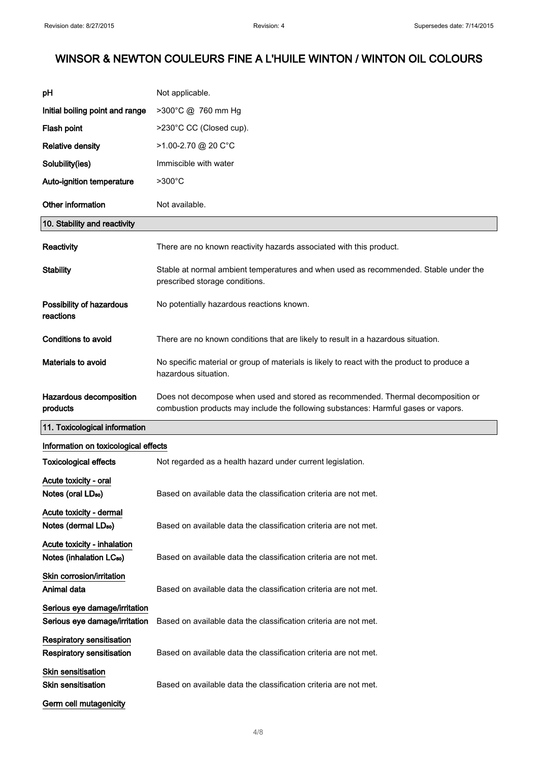| pH                                                                   | Not applicable.                                                                                                                                                        |
|----------------------------------------------------------------------|------------------------------------------------------------------------------------------------------------------------------------------------------------------------|
| Initial boiling point and range                                      | >300°C @ 760 mm Hg                                                                                                                                                     |
| Flash point                                                          | >230°C CC (Closed cup).                                                                                                                                                |
| <b>Relative density</b>                                              | $>1.00 - 2.70$ @ 20 C°C                                                                                                                                                |
| Solubility(ies)                                                      | Immiscible with water                                                                                                                                                  |
| Auto-ignition temperature                                            | $>300^{\circ}$ C                                                                                                                                                       |
| Other information                                                    | Not available.                                                                                                                                                         |
| 10. Stability and reactivity                                         |                                                                                                                                                                        |
| <b>Reactivity</b>                                                    | There are no known reactivity hazards associated with this product.                                                                                                    |
| <b>Stability</b>                                                     | Stable at normal ambient temperatures and when used as recommended. Stable under the<br>prescribed storage conditions.                                                 |
| Possibility of hazardous<br>reactions                                | No potentially hazardous reactions known.                                                                                                                              |
| <b>Conditions to avoid</b>                                           | There are no known conditions that are likely to result in a hazardous situation.                                                                                      |
| Materials to avoid                                                   | No specific material or group of materials is likely to react with the product to produce a<br>hazardous situation.                                                    |
| Hazardous decomposition<br>products                                  | Does not decompose when used and stored as recommended. Thermal decomposition or<br>combustion products may include the following substances: Harmful gases or vapors. |
| 11. Toxicological information                                        |                                                                                                                                                                        |
| Information on toxicological effects                                 |                                                                                                                                                                        |
| <b>Toxicological effects</b>                                         | Not regarded as a health hazard under current legislation.                                                                                                             |
| Acute toxicity - oral<br>Notes (oral LD <sub>50</sub> )              | Based on available data the classification criteria are not met.                                                                                                       |
| Acute toxicity - dermal<br>Notes (dermal LD <sub>50</sub> )          | Based on available data the classification criteria are not met.                                                                                                       |
| Acute toxicity - inhalation<br>Notes (inhalation LC <sub>50</sub> )  | Based on available data the classification criteria are not met.                                                                                                       |
| Skin corrosion/irritation<br>Animal data                             | Based on available data the classification criteria are not met.                                                                                                       |
| Serious eye damage/irritation<br>Serious eye damage/irritation       | Based on available data the classification criteria are not met.                                                                                                       |
| <b>Respiratory sensitisation</b><br><b>Respiratory sensitisation</b> | Based on available data the classification criteria are not met.                                                                                                       |
| <b>Skin sensitisation</b><br>Skin sensitisation                      | Based on available data the classification criteria are not met.                                                                                                       |
| Germ cell mutagenicity                                               |                                                                                                                                                                        |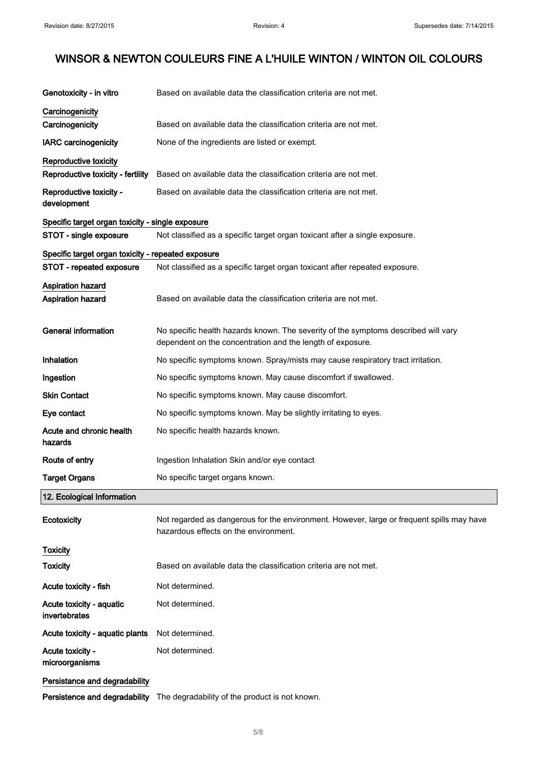| Genotoxicity - in vitro                            | Based on available data the classification criteria are not met.                                                                   |
|----------------------------------------------------|------------------------------------------------------------------------------------------------------------------------------------|
| Carcinogenicity                                    |                                                                                                                                    |
| Carcinogenicity                                    | Based on available data the classification criteria are not met.                                                                   |
| <b>IARC</b> carcinogenicity                        | None of the ingredients are listed or exempt.                                                                                      |
|                                                    |                                                                                                                                    |
| Reproductive toxicity                              |                                                                                                                                    |
| Reproductive toxicity - fertility                  | Based on available data the classification criteria are not met.                                                                   |
| Reproductive toxicity -<br>development             | Based on available data the classification criteria are not met.                                                                   |
| Specific target organ toxicity - single exposure   |                                                                                                                                    |
| STOT - single exposure                             | Not classified as a specific target organ toxicant after a single exposure.                                                        |
| Specific target organ toxicity - repeated exposure |                                                                                                                                    |
| STOT - repeated exposure                           | Not classified as a specific target organ toxicant after repeated exposure.                                                        |
|                                                    |                                                                                                                                    |
| <b>Aspiration hazard</b>                           |                                                                                                                                    |
| <b>Aspiration hazard</b>                           | Based on available data the classification criteria are not met.                                                                   |
|                                                    |                                                                                                                                    |
| <b>General information</b>                         | No specific health hazards known. The severity of the symptoms described will vary                                                 |
|                                                    | dependent on the concentration and the length of exposure.                                                                         |
| <b>Inhalation</b>                                  | No specific symptoms known. Spray/mists may cause respiratory tract irritation.                                                    |
| Ingestion                                          | No specific symptoms known. May cause discomfort if swallowed.                                                                     |
| <b>Skin Contact</b>                                | No specific symptoms known. May cause discomfort.                                                                                  |
| Eye contact                                        | No specific symptoms known. May be slightly irritating to eyes.                                                                    |
| Acute and chronic health                           | No specific health hazards known.                                                                                                  |
| hazards                                            |                                                                                                                                    |
|                                                    |                                                                                                                                    |
| Route of entry                                     | Ingestion Inhalation Skin and/or eye contact                                                                                       |
| <b>Target Organs</b>                               | No specific target organs known.                                                                                                   |
| 12. Ecological Information                         |                                                                                                                                    |
| Ecotoxicity                                        | Not regarded as dangerous for the environment. However, large or frequent spills may have<br>hazardous effects on the environment. |
| <b>Toxicity</b>                                    |                                                                                                                                    |
| <b>Toxicity</b>                                    | Based on available data the classification criteria are not met.                                                                   |
| Acute toxicity - fish                              | Not determined.                                                                                                                    |
|                                                    |                                                                                                                                    |
| Acute toxicity - aquatic<br>invertebrates          | Not determined.                                                                                                                    |
| Acute toxicity - aquatic plants                    | Not determined.                                                                                                                    |
| Acute toxicity -                                   | Not determined.                                                                                                                    |
| microorganisms                                     |                                                                                                                                    |
|                                                    |                                                                                                                                    |
| Persistance and degradability                      |                                                                                                                                    |
| Persistence and degradability                      | The degradability of the product is not known.                                                                                     |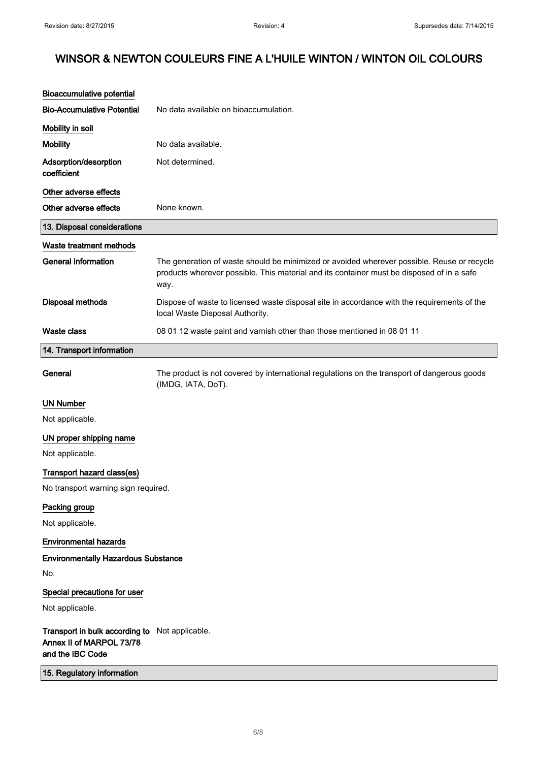| <b>Bioaccumulative potential</b>                                                               |                                                                                                                                                                                                 |
|------------------------------------------------------------------------------------------------|-------------------------------------------------------------------------------------------------------------------------------------------------------------------------------------------------|
| <b>Bio-Accumulative Potential</b>                                                              | No data available on bioaccumulation.                                                                                                                                                           |
| Mobility in soil                                                                               |                                                                                                                                                                                                 |
| <b>Mobility</b>                                                                                | No data available.                                                                                                                                                                              |
| Adsorption/desorption<br>coefficient                                                           | Not determined.                                                                                                                                                                                 |
| Other adverse effects                                                                          |                                                                                                                                                                                                 |
| Other adverse effects                                                                          | None known.                                                                                                                                                                                     |
| 13. Disposal considerations                                                                    |                                                                                                                                                                                                 |
| Waste treatment methods                                                                        |                                                                                                                                                                                                 |
| <b>General information</b>                                                                     | The generation of waste should be minimized or avoided wherever possible. Reuse or recycle<br>products wherever possible. This material and its container must be disposed of in a safe<br>way. |
| <b>Disposal methods</b>                                                                        | Dispose of waste to licensed waste disposal site in accordance with the requirements of the<br>local Waste Disposal Authority.                                                                  |
| <b>Waste class</b>                                                                             | 08 01 12 waste paint and varnish other than those mentioned in 08 01 11                                                                                                                         |
| 14. Transport information                                                                      |                                                                                                                                                                                                 |
| General                                                                                        | The product is not covered by international regulations on the transport of dangerous goods<br>(IMDG, IATA, DoT).                                                                               |
| <b>UN Number</b>                                                                               |                                                                                                                                                                                                 |
| Not applicable.                                                                                |                                                                                                                                                                                                 |
| UN proper shipping name                                                                        |                                                                                                                                                                                                 |
| Not applicable.                                                                                |                                                                                                                                                                                                 |
| Transport hazard class(es)                                                                     |                                                                                                                                                                                                 |
| No transport warning sign required.                                                            |                                                                                                                                                                                                 |
| Packing group                                                                                  |                                                                                                                                                                                                 |
| Not applicable.                                                                                |                                                                                                                                                                                                 |
| <b>Environmental hazards</b>                                                                   |                                                                                                                                                                                                 |
| <b>Environmentally Hazardous Substance</b>                                                     |                                                                                                                                                                                                 |
| No.                                                                                            |                                                                                                                                                                                                 |
| Special precautions for user                                                                   |                                                                                                                                                                                                 |
| Not applicable.                                                                                |                                                                                                                                                                                                 |
| Transport in bulk according to Not applicable.<br>Annex II of MARPOL 73/78<br>and the IBC Code |                                                                                                                                                                                                 |
| 15. Regulatory information                                                                     |                                                                                                                                                                                                 |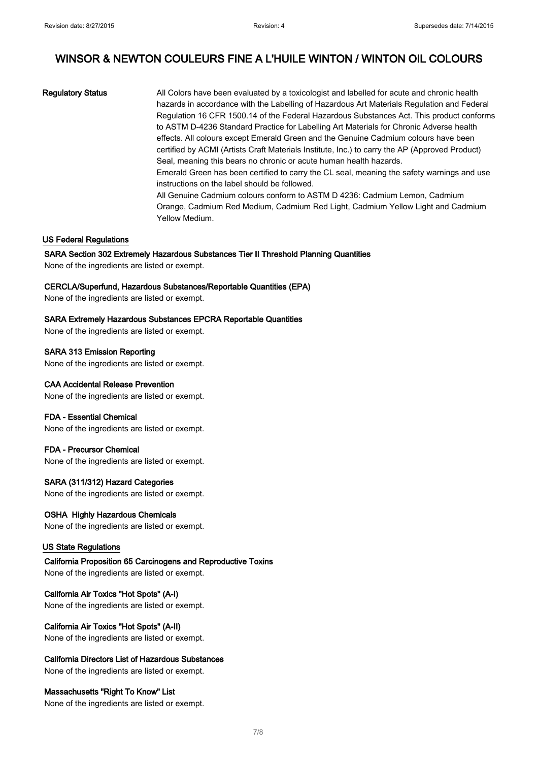Regulatory Status **All Colors have been evaluated by a toxicologist and labelled for acute and chronic health** hazards in accordance with the Labelling of Hazardous Art Materials Regulation and Federal Regulation 16 CFR 1500.14 of the Federal Hazardous Substances Act. This product conforms to ASTM D-4236 Standard Practice for Labelling Art Materials for Chronic Adverse health effects. All colours except Emerald Green and the Genuine Cadmium colours have been certified by ACMI (Artists Craft Materials Institute, Inc.) to carry the AP (Approved Product) Seal, meaning this bears no chronic or acute human health hazards. Emerald Green has been certified to carry the CL seal, meaning the safety warnings and use instructions on the label should be followed. All Genuine Cadmium colours conform to ASTM D 4236: Cadmium Lemon, Cadmium Orange, Cadmium Red Medium, Cadmium Red Light, Cadmium Yellow Light and Cadmium Yellow Medium.

## US Federal Regulations

#### SARA Section 302 Extremely Hazardous Substances Tier II Threshold Planning Quantities

None of the ingredients are listed or exempt.

#### CERCLA/Superfund, Hazardous Substances/Reportable Quantities (EPA)

None of the ingredients are listed or exempt.

#### SARA Extremely Hazardous Substances EPCRA Reportable Quantities

None of the ingredients are listed or exempt.

SARA 313 Emission Reporting

# None of the ingredients are listed or exempt.

# CAA Accidental Release Prevention

None of the ingredients are listed or exempt.

## FDA - Essential Chemical

None of the ingredients are listed or exempt.

# FDA - Precursor Chemical

None of the ingredients are listed or exempt.

## SARA (311/312) Hazard Categories

None of the ingredients are listed or exempt.

## OSHA Highly Hazardous Chemicals

None of the ingredients are listed or exempt.

## US State Regulations

California Proposition 65 Carcinogens and Reproductive Toxins None of the ingredients are listed or exempt.

## California Air Toxics "Hot Spots" (A-I)

None of the ingredients are listed or exempt.

## California Air Toxics "Hot Spots" (A-II)

None of the ingredients are listed or exempt.

# California Directors List of Hazardous Substances

None of the ingredients are listed or exempt.

## Massachusetts "Right To Know" List

None of the ingredients are listed or exempt.